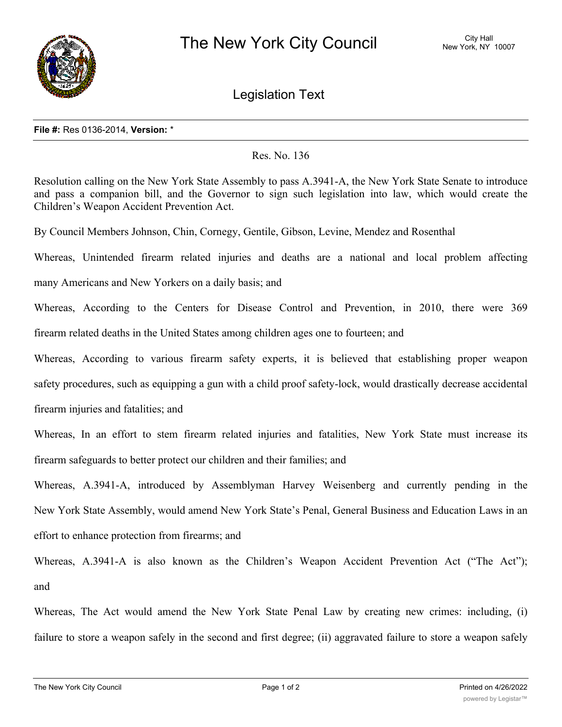

Legislation Text

## **File #:** Res 0136-2014, **Version:** \*

## Res. No. 136

Resolution calling on the New York State Assembly to pass A.3941-A, the New York State Senate to introduce and pass a companion bill, and the Governor to sign such legislation into law, which would create the Children's Weapon Accident Prevention Act.

By Council Members Johnson, Chin, Cornegy, Gentile, Gibson, Levine, Mendez and Rosenthal

Whereas, Unintended firearm related injuries and deaths are a national and local problem affecting

many Americans and New Yorkers on a daily basis; and

Whereas, According to the Centers for Disease Control and Prevention, in 2010, there were 369 firearm related deaths in the United States among children ages one to fourteen; and

Whereas, According to various firearm safety experts, it is believed that establishing proper weapon safety procedures, such as equipping a gun with a child proof safety-lock, would drastically decrease accidental firearm injuries and fatalities; and

Whereas, In an effort to stem firearm related injuries and fatalities, New York State must increase its firearm safeguards to better protect our children and their families; and

Whereas, A.3941-A, introduced by Assemblyman Harvey Weisenberg and currently pending in the New York State Assembly, would amend New York State's Penal, General Business and Education Laws in an effort to enhance protection from firearms; and

Whereas, A.3941-A is also known as the Children's Weapon Accident Prevention Act ("The Act"); and

Whereas, The Act would amend the New York State Penal Law by creating new crimes: including, (i) failure to store a weapon safely in the second and first degree; (ii) aggravated failure to store a weapon safely